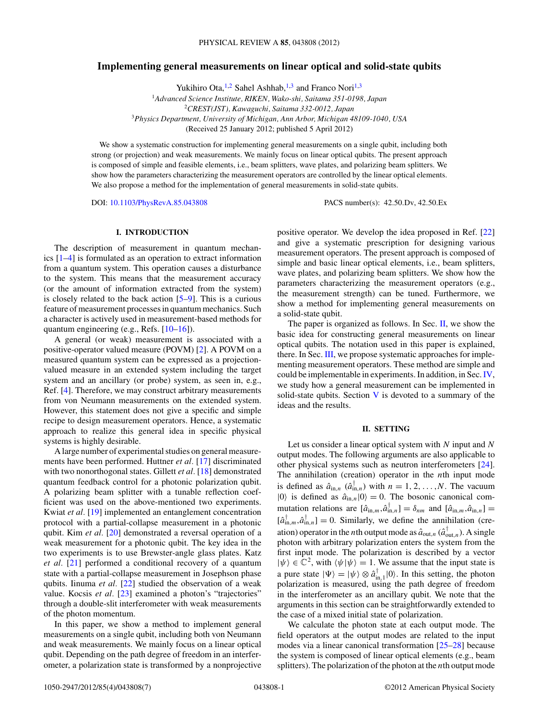# <span id="page-0-0"></span>**Implementing general measurements on linear optical and solid-state qubits**

Yukihiro Ota, <sup>1,2</sup> Sahel Ashhab, <sup>1,3</sup> and Franco Nori<sup>1,3</sup>

*Advanced Science Institute, RIKEN, Wako-shi, Saitama 351-0198, Japan CREST(JST), Kawaguchi, Saitama 332-0012, Japan Physics Department, University of Michigan, Ann Arbor, Michigan 48109-1040, USA* (Received 25 January 2012; published 5 April 2012)

We show a systematic construction for implementing general measurements on a single qubit, including both strong (or projection) and weak measurements. We mainly focus on linear optical qubits. The present approach is composed of simple and feasible elements, i.e., beam splitters, wave plates, and polarizing beam splitters. We show how the parameters characterizing the measurement operators are controlled by the linear optical elements. We also propose a method for the implementation of general measurements in solid-state qubits.

DOI: [10.1103/PhysRevA.85.043808](http://dx.doi.org/10.1103/PhysRevA.85.043808) PACS number(s): 42*.*50*.*Dv, 42*.*50*.*Ex

### **I. INTRODUCTION**

The description of measurement in quantum mechanics [\[1–4\]](#page-5-0) is formulated as an operation to extract information from a quantum system. This operation causes a disturbance to the system. This means that the measurement accuracy (or the amount of information extracted from the system) is closely related to the back action  $[5-9]$ . This is a curious feature of measurement processes in quantum mechanics. Such a character is actively used in measurement-based methods for quantum engineering (e.g., Refs. [\[10–16\]](#page-5-0)).

A general (or weak) measurement is associated with a positive-operator valued measure (POVM) [\[2\]](#page-5-0). A POVM on a measured quantum system can be expressed as a projectionvalued measure in an extended system including the target system and an ancillary (or probe) system, as seen in, e.g., Ref. [\[4\]](#page-5-0). Therefore, we may construct arbitrary measurements from von Neumann measurements on the extended system. However, this statement does not give a specific and simple recipe to design measurement operators. Hence, a systematic approach to realize this general idea in specific physical systems is highly desirable.

A large number of experimental studies on general measurements have been performed. Huttner *et al.* [\[17\]](#page-5-0) discriminated with two nonorthogonal states. Gillett *et al.* [\[18\]](#page-5-0) demonstrated quantum feedback control for a photonic polarization qubit. A polarizing beam splitter with a tunable reflection coefficient was used on the above-mentioned two experiments. Kwiat *et al.* [\[19\]](#page-5-0) implemented an entanglement concentration protocol with a partial-collapse measurement in a photonic qubit. Kim *et al.* [\[20\]](#page-5-0) demonstrated a reversal operation of a weak measurement for a photonic qubit. The key idea in the two experiments is to use Brewster-angle glass plates. Katz *et al.* [\[21\]](#page-5-0) performed a conditional recovery of a quantum state with a partial-collapse measurement in Josephson phase qubits. Iinuma *et al.* [\[22\]](#page-5-0) studied the observation of a weak value. Kocsis *et al.* [\[23\]](#page-6-0) examined a photon's "trajectories" through a double-slit interferometer with weak measurements of the photon momentum.

In this paper, we show a method to implement general measurements on a single qubit, including both von Neumann and weak measurements. We mainly focus on a linear optical qubit. Depending on the path degree of freedom in an interferometer, a polarization state is transformed by a nonprojective

positive operator. We develop the idea proposed in Ref. [\[22\]](#page-5-0) and give a systematic prescription for designing various measurement operators. The present approach is composed of simple and basic linear optical elements, i.e., beam splitters, wave plates, and polarizing beam splitters. We show how the parameters characterizing the measurement operators (e.g., the measurement strength) can be tuned. Furthermore, we show a method for implementing general measurements on a solid-state qubit.

The paper is organized as follows. In Sec.  $II$ , we show the basic idea for constructing general measurements on linear optical qubits. The notation used in this paper is explained, there. In Sec.  $III$ , we propose systematic approaches for implementing measurement operators. These method are simple and could be implementable in experiments. In addition, in Sec.[IV,](#page-4-0) we study how a general measurement can be implemented in solid-state qubits. Section  $V$  is devoted to a summary of the ideas and the results.

### **II. SETTING**

Let us consider a linear optical system with *N* input and *N* output modes. The following arguments are also applicable to other physical systems such as neutron interferometers [\[24\]](#page-6-0). The annihilation (creation) operator in the *n*th input mode is defined as  $\hat{a}_{\text{in},n}$  ( $\hat{a}_{\text{in},n}$ ) with  $n = 1, 2, ..., N$ . The vacuum  $|0\rangle$  is defined as  $\hat{a}_{\text{in},n}|0\rangle = 0$ . The bosonic canonical commutation relations are  $[\hat{a}_{\text{in},m}, \hat{a}_{\text{in},n}^{\dagger}] = \delta_{nm}$  and  $[\hat{a}_{\text{in},m}, \hat{a}_{\text{in},n}] =$  $[\hat{a}_{\text{in},m}^{\dagger},\hat{a}_{\text{in},n}^{\dagger}]=0$ . Similarly, we define the annihilation (creation) operator in the *n*th output mode as  $\hat{a}_{\text{out},n}$  ( $\hat{a}_{\text{out},n}^{\dagger}$ ). A single photon with arbitrary polarization enters the system from the first input mode. The polarization is described by a vector  $|\psi\rangle \in \mathbb{C}^2$ , with  $\langle \psi | \psi \rangle = 1$ . We assume that the input state is a pure state  $|\Psi\rangle = |\psi\rangle \otimes \hat{a}_{\text{in},1}^{\dagger}|0\rangle$ . In this setting, the photon polarization is measured, using the path degree of freedom in the interferometer as an ancillary qubit. We note that the arguments in this section can be straightforwardly extended to the case of a mixed initial state of polarization.

We calculate the photon state at each output mode. The field operators at the output modes are related to the input modes via a linear canonical transformation [\[25–28\]](#page-6-0) because the system is composed of linear optical elements (e.g., beam splitters). The polarization of the photon at the *n*th output mode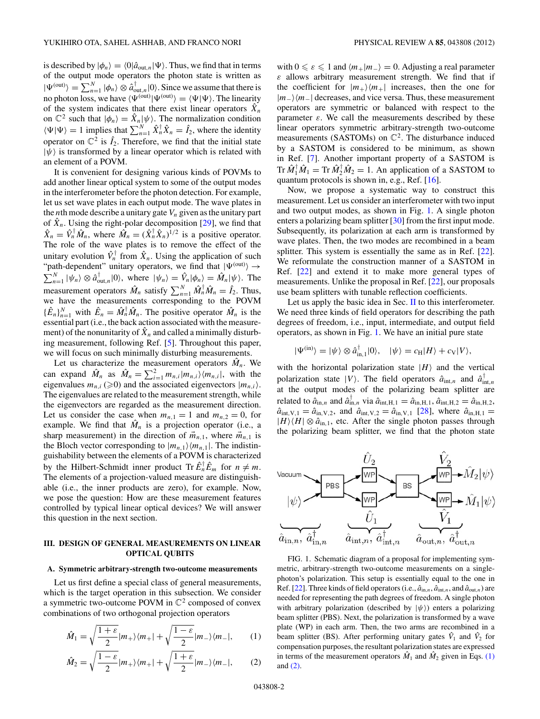<span id="page-1-0"></span>is described by  $|\phi_n\rangle = \langle 0|\hat{a}_{\text{out},n}|\Psi\rangle$ . Thus, we find that in terms of the output mode operators the photon state is written as  $|\Psi^{(out)}\rangle = \sum_{n=1}^{N} |\phi_n\rangle \otimes \hat{a}^\dagger_{\text{out},n}|0\rangle$ . Since we assume that there is no photon loss, we have  $\langle \Psi^{(out)} | \Psi^{(out)} \rangle = \langle \Psi | \Psi \rangle$ . The linearity of the system indicates that there exist linear operators  $\hat{X}_n$ on  $\mathbb{C}^2$  such that  $|\phi_n\rangle = \hat{X}_n|\psi\rangle$ . The normalization condition  $\langle \Psi | \Psi \rangle = 1$  implies that  $\sum_{n=1}^{N} \hat{X}_{n}^{\dagger} \hat{X}_{n} = \hat{I}_{2}$ , where the identity operator on  $\mathbb{C}^2$  is  $\hat{I}_2$ . Therefore, we find that the initial state  $|\psi\rangle$  is transformed by a linear operator which is related with an element of a POVM.

It is convenient for designing various kinds of POVMs to add another linear optical system to some of the output modes in the interferometer before the photon detection. For example, let us set wave plates in each output mode. The wave plates in the *n*th mode describe a unitary gate  $V_n$  given as the unitary part of  $\hat{X}_n$ . Using the right-polar decomposition [\[29\]](#page-6-0), we find that  $\hat{X}_n = \hat{V}_n^{\dagger} \hat{M}_n$ , where  $\hat{M}_n = (\hat{X}_n^{\dagger} \hat{X}_n)^{1/2}$  is a positive operator. The role of the wave plates is to remove the effect of the unitary evolution  $\hat{V}_n^{\dagger}$  from  $\hat{X}_n$ . Using the application of such "path-dependent" unitary operators, we find that  $|\Psi^{\text{(out)}}\rangle \rightarrow$  $\sum_{n=1}^{N} |\psi_n\rangle \otimes \hat{a}_{\text{out},n}^{\dagger} |0\rangle$ , where  $|\psi_n\rangle = \hat{V}_n |\phi_n\rangle = \hat{M}_n |\psi\rangle$ . The measurement operators  $\hat{M}_n$  satisfy  $\sum_{n=1}^{N} \hat{M}_n^{\dagger} \hat{M}_n = \hat{I}_2$ . Thus, we have the measurements corresponding to the POVM  ${\{\hat{E}_n\}}_{n=1}^N$  with  $\hat{E}_n = \hat{M}_n^{\dagger} \hat{M}_n$ . The positive operator  $\hat{M}_n$  is the essential part (i.e., the back action associated with the measurement) of the nonunitarity of  $\ddot{X}_n$  and called a minimally disturbing measurement, following Ref. [\[5\]](#page-5-0). Throughout this paper, we will focus on such minimally disturbing measurements.

Let us characterize the measurement operators  $\hat{M}_n$ . We can expand  $\hat{M}_n$  as  $\hat{M}_n = \sum_{i=1}^2 m_{n,i} |m_{n,i}\rangle \langle m_{n,i}|$ , with the eigenvalues  $m_{n,i} \geq 0$  and the associated eigenvectors  $|m_{n,i}\rangle$ . The eigenvalues are related to the measurement strength, while the eigenvectors are regarded as the measurement direction. Let us consider the case when  $m_{n,1} = 1$  and  $m_{n,2} = 0$ , for example. We find that  $\hat{M}_n$  is a projection operator (i.e., a sharp measurement) in the direction of  $\vec{m}_{n,1}$ , where  $\vec{m}_{n,1}$  is the Bloch vector corresponding to  $|m_{n,1}\rangle\langle m_{n,1}|$ . The indistinguishability between the elements of a POVM is characterized by the Hilbert-Schmidt inner product  $\text{Tr} \hat{E}_n^{\dagger} \hat{E}_m$  for  $n \neq m$ . The elements of a projection-valued measure are distinguishable (i.e., the inner products are zero), for example. Now, we pose the question: How are these measurement features controlled by typical linear optical devices? We will answer this question in the next section.

## **III. DESIGN OF GENERAL MEASUREMENTS ON LINEAR OPTICAL QUBITS**

#### **A. Symmetric arbitrary-strength two-outcome measurements**

Let us first define a special class of general measurements, which is the target operation in this subsection. We consider a symmetric two-outcome POVM in  $\mathbb{C}^2$  composed of convex combinations of two orthogonal projection operators

$$
\hat{M}_1 = \sqrt{\frac{1+\varepsilon}{2}} |m_+\rangle \langle m_+| + \sqrt{\frac{1-\varepsilon}{2}} |m_-\rangle \langle m_-|, \qquad (1)
$$

$$
\hat{M}_2 = \sqrt{\frac{1-\varepsilon}{2}} |m_+\rangle \langle m_+| + \sqrt{\frac{1+\varepsilon}{2}} |m_-\rangle \langle m_-|, \qquad (2)
$$

with  $0 \le \varepsilon \le 1$  and  $\langle m_+|m_-\rangle = 0$ . Adjusting a real parameter *ε* allows arbitrary measurement strength. We find that if the coefficient for  $|m_{+}\rangle\langle m_{+}|$  increases, then the one for |*m*<sub>−</sub> $\langle m$ <sub>−</sub>| decreases, and vice versa. Thus, these measurement operators are symmetric or balanced with respect to the parameter  $\varepsilon$ . We call the measurements described by these linear operators symmetric arbitrary-strength two-outcome measurements (SASTOMs) on  $\mathbb{C}^2$ . The disturbance induced by a SASTOM is considered to be minimum, as shown in Ref. [\[7\]](#page-5-0). Another important property of a SASTOM is Tr  $\hat{M}_1^{\dagger} \hat{M}_1 =$  Tr  $\hat{M}_2^{\dagger} \hat{M}_2 = 1$ . An application of a SASTOM to quantum protocols is shown in, e.g., Ref. [\[16\]](#page-5-0).

Now, we propose a systematic way to construct this measurement. Let us consider an interferometer with two input and two output modes, as shown in Fig. 1. A single photon enters a polarizing beam splitter [\[30\]](#page-6-0) from the first input mode. Subsequently, its polarization at each arm is transformed by wave plates. Then, the two modes are recombined in a beam splitter. This system is essentially the same as in Ref. [\[22\]](#page-5-0). We reformulate the construction manner of a SASTOM in Ref. [\[22\]](#page-5-0) and extend it to make more general types of measurements. Unlike the proposal in Ref. [\[22\]](#page-5-0), our proposals use beam splitters with tunable reflection coefficients.

Let us apply the basic idea in Sec.  $\Pi$  to this interferometer. We need three kinds of field operators for describing the path degrees of freedom, i.e., input, intermediate, and output field operators, as shown in Fig. 1. We have an initial pure state

$$
|\Psi^{(in)}\rangle = |\psi\rangle \otimes \hat{a}_{in,1}^{\dagger}|0\rangle, \quad |\psi\rangle = c_H|H\rangle + c_V|V\rangle,
$$

with the horizontal polarization state  $|H\rangle$  and the vertical polarization state  $|V\rangle$ . The field operators  $\hat{a}_{\text{int},n}$  and  $\hat{a}^{\dagger}_{\text{int},n}$ at the output modes of the polarizing beam splitter are related to  $\hat{a}_{\text{in},n}$  and  $\hat{a}_{\text{in},n}^{\dagger}$  via  $\hat{a}_{\text{int},H,1} = \hat{a}_{\text{in},H,1}$ ,  $\hat{a}_{\text{int},H,2} = \hat{a}_{\text{in},H,2}$ ,  $\hat{a}_{int, V, 1} = \hat{a}_{in, V, 2}$ , and  $\hat{a}_{int, V, 2} = \hat{a}_{in, V, 1}$  [\[28\]](#page-6-0), where  $\hat{a}_{in, H, 1} =$  $|H\rangle\langle H| \otimes \hat{a}_{\text{in},1}$ , etc. After the single photon passes through the polarizing beam splitter, we find that the photon state



FIG. 1. Schematic diagram of a proposal for implementing symmetric, arbitrary-strength two-outcome measurements on a singlephoton's polarization. This setup is essentially equal to the one in Ref. [\[22\]](#page-5-0). Three kinds of field operators (i.e.,  $\hat{a}_{\text{in},n}$ ,  $\hat{a}_{\text{int},n}$ , and  $\hat{a}_{\text{out},n}$ ) are needed for representing the path degrees of freedom. A single photon with arbitrary polarization (described by  $|\psi\rangle$ ) enters a polarizing beam splitter (PBS). Next, the polarization is transformed by a wave plate (WP) in each arm. Then, the two arms are recombined in a beam splitter (BS). After performing unitary gates  $\hat{V}_1$  and  $\hat{V}_2$  for compensation purposes, the resultant polarization states are expressed in terms of the measurement operators  $\hat{M}_1$  and  $\hat{M}_2$  given in Eqs. (1) and (2).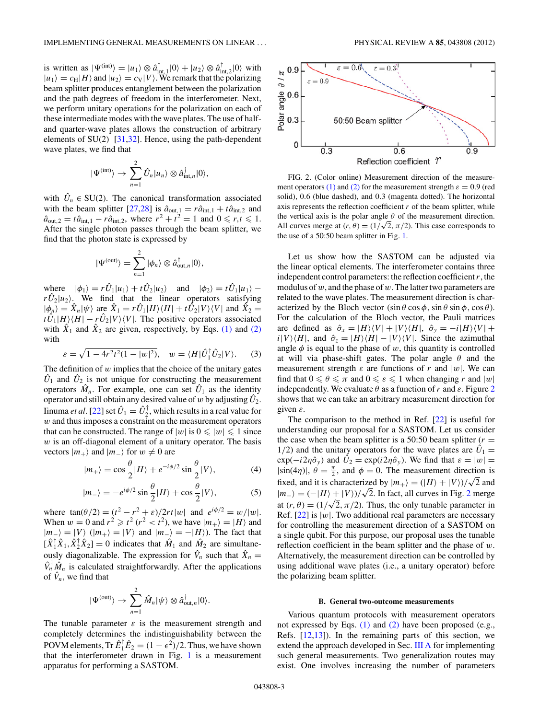<span id="page-2-0"></span>is written as  $|\Psi^{(\text{int})}\rangle = |u_1\rangle \otimes \hat{a}_{\text{int},1}^{\dagger}|0\rangle + |u_2\rangle \otimes \hat{a}_{\text{int},2}^{\dagger}|0\rangle$  with  $|u_1\rangle = c_H|H\rangle$  and  $|u_2\rangle = c_V|V\rangle$ . We remark that the polarizing beam splitter produces entanglement between the polarization and the path degrees of freedom in the interferometer. Next, we perform unitary operations for the polarization on each of these intermediate modes with the wave plates. The use of halfand quarter-wave plates allows the construction of arbitrary elements of  $SU(2)$  [\[31,32\]](#page-6-0). Hence, using the path-dependent wave plates, we find that

$$
|\Psi^{(\text{int})}\rangle \rightarrow \sum_{n=1}^{2} \hat{U}_n |u_n\rangle \otimes \hat{a}_{\text{int},n}^{\dagger} |0\rangle,
$$

with  $\hat{U}_n \in SU(2)$ . The canonical transformation associated with the beam splitter  $[27,28]$  is  $\hat{a}_{\text{out,1}} = r\hat{a}_{\text{int,1}} + t\hat{a}_{\text{int,2}}$  and  $\hat{a}_{\text{out},2} = t\hat{a}_{\text{int},1} - r\hat{a}_{\text{int},2}$ , where  $r^2 + t^2 = 1$  and  $0 \le r, t \le 1$ . After the single photon passes through the beam splitter, we find that the photon state is expressed by

$$
|\Psi^{(out)}\rangle = \sum_{n=1}^{2} |\phi_n\rangle \otimes \hat{a}_{\text{out},n}^{\dagger} |0\rangle,
$$

where  $|\phi_1\rangle = r\hat{U}_1|u_1\rangle + t\hat{U}_2|u_2\rangle$  and  $|\phi_2\rangle = t\hat{U}_1|u_1\rangle - t\hat{U}_2|u_2\rangle$  $r\hat{U}_2|u_2\rangle$ . We find that the linear operators satisfying  $|\phi_n\rangle = \hat{X}_n|\psi\rangle$  are  $\hat{X}_1 = r\hat{U}_1|H\rangle\langle H| + t\hat{U}_2|V\rangle\langle V|$  and  $\hat{X}_2 =$  $\langle t\hat{U}_1|H\rangle\langle H| - r\hat{U}_2|V\rangle\langle V|$ . The positive operators associated with  $\hat{X}_1$  and  $\hat{X}_2$  are given, respectively, by Eqs. [\(1\)](#page-1-0) and [\(2\)](#page-1-0) with

$$
\varepsilon = \sqrt{1 - 4r^2t^2(1 - |w|^2)}, \quad w = \langle H|\hat{U}_1^{\dagger}\hat{U}_2|V\rangle. \tag{3}
$$

The definition of *w* implies that the choice of the unitary gates  $\hat{U}_1$  and  $\hat{U}_2$  is not unique for constructing the measurement operators  $\hat{M}_n$ . For example, one can set  $\hat{U}_1$  as the identity operator and still obtain any desired value of *w* by adjusting  $\hat{U}_2$ . Iinuma *et al*. [\[22\]](#page-5-0) set  $\hat{U}_1 = \hat{U}_2^{\dagger}$ , which results in a real value for *w* and thus imposes a constraint on the measurement operators that can be constructed. The range of  $|w|$  is  $0 \le |w| \le 1$  since *w* is an off-diagonal element of a unitary operator. The basis vectors  $|m_{+}\rangle$  and  $|m_{-}\rangle$  for  $w \neq 0$  are

$$
|m_{+}\rangle = \cos\frac{\theta}{2}|H\rangle + e^{-i\phi/2}\sin\frac{\theta}{2}|V\rangle, \tag{4}
$$

$$
|m_{-}\rangle = -e^{i\phi/2}\sin\frac{\theta}{2}|H\rangle + \cos\frac{\theta}{2}|V\rangle, \tag{5}
$$

where  $\tan(\theta/2) = (t^2 - r^2 + \varepsilon)/2rt|w|$  and  $e^{i\phi/2} = w/|w|$ . When  $w = 0$  and  $r^2 \ge t^2$  ( $r^2 < t^2$ ), we have  $|m_+\rangle = |H\rangle$  and  $|m_{-}\rangle = |V\rangle$  ( $|m_{+}\rangle = |V\rangle$  and  $|m_{-}\rangle = -|H\rangle$ ). The fact that  $[\hat{X}_1^{\dagger} \hat{X}_1, \hat{X}_2^{\dagger} \hat{X}_2] = 0$  indicates that  $\hat{M}_1$  and  $\hat{M}_2$  are simultaneously diagonalizable. The expression for  $\hat{V}_n$  such that  $\hat{X}_n =$  $\hat{V}_n^{\dagger} \hat{M}_n$  is calculated straightforwardly. After the applications of  $\hat{V}_n$ , we find that

$$
|\Psi^{(\text{out})}\rangle \rightarrow \sum_{n=1}^{2} \hat{M}_n |\psi\rangle \otimes \hat{a}_{\text{out},n}^{\dagger} |0\rangle.
$$

The tunable parameter  $\varepsilon$  is the measurement strength and completely determines the indistinguishability between the POVM elements, Tr  $\hat{E}_1^{\dagger} \hat{E}_2 = (1 - \epsilon^2)/2$ . Thus, we have shown that the interferometer drawn in Fig. [1](#page-1-0) is a measurement apparatus for performing a SASTOM.



FIG. 2. (Color online) Measurement direction of the measure-ment operators [\(1\)](#page-1-0) and [\(2\)](#page-1-0) for the measurement strength  $\varepsilon = 0.9$  (red solid), 0*.*6 (blue dashed), and 0*.*3 (magenta dotted). The horizontal axis represents the reflection coefficient *r* of the beam splitter, while the vertical axis is the polar angle  $\theta$  of the measurement direction. the vertical axis is the polar angle  $\theta$  or the measurement direction.<br>All curves merge at  $(r, \theta) = (1/\sqrt{2}, \pi/2)$ . This case corresponds to the use of a 50:50 beam splitter in Fig. [1.](#page-1-0)

Let us show how the SASTOM can be adjusted via the linear optical elements. The interferometer contains three independent control parameters: the reflection coefficient*r*, the modulus of *w*, and the phase of *w*. The latter two parameters are related to the wave plates. The measurement direction is characterized by the Bloch vector  $(\sin \theta \cos \phi, \sin \theta \sin \phi, \cos \theta)$ . For the calculation of the Bloch vector, the Pauli matrices are defined as  $\hat{\sigma}_x = |H\rangle\langle V| + |V\rangle\langle H|, \hat{\sigma}_y = -i|H\rangle\langle V| +$  $i|V\rangle\langle H|$ , and  $\hat{\sigma}_z = |H\rangle\langle H| - |V\rangle\langle V|$ . Since the azimuthal angle  $\phi$  is equal to the phase of  $w$ , this quantity is controlled at will via phase-shift gates. The polar angle *θ* and the measurement strength  $\varepsilon$  are functions of  $r$  and  $|w|$ . We can find that  $0 \le \theta \le \pi$  and  $0 \le \varepsilon \le 1$  when changing r and  $|w|$ independently. We evaluate  $\theta$  as a function of *r* and  $\varepsilon$ . Figure 2 shows that we can take an arbitrary measurement direction for given *ε*.

The comparison to the method in Ref. [\[22\]](#page-5-0) is useful for understanding our proposal for a SASTOM. Let us consider the case when the beam splitter is a 50:50 beam splitter  $(r =$  $1/2$ ) and the unitary operators for the wave plates are  $U_1 =$  $\exp(-i2\eta\hat{\sigma}_y)$  and  $\hat{U}_2 = \exp(i2\eta\hat{\sigma}_y)$ . We find that  $\varepsilon = |w|$  $|\sin(4\eta)|$ ,  $\theta = \frac{\pi}{2}$ , and  $\phi = 0$ . The measurement direction is fixed, and it is characterized by  $|m_{+}\rangle = (|H\rangle + |V\rangle)/\sqrt{2}$  and  $\sqrt{2}$  $|m_{-}\rangle = (-|H\rangle + |V\rangle)/\sqrt{2}$ . In fact, all curves in Fig. 2 merge  $|m_{-}\rangle = (-|H\rangle + |V\rangle)/\sqrt{2}$ . In ract, all curves in Fig. 2 merge<br>at  $(r, \theta) = (1/\sqrt{2}, \pi/2)$ . Thus, the only tunable parameter in Ref.  $[22]$  is  $|w|$ . Two additional real parameters are necessary for controlling the measurement direction of a SASTOM on a single qubit. For this purpose, our proposal uses the tunable reflection coefficient in the beam splitter and the phase of *w*. Alternatively, the measurement direction can be controlled by using additional wave plates (i.e., a unitary operator) before the polarizing beam splitter.

#### **B. General two-outcome measurements**

Various quantum protocols with measurement operators not expressed by Eqs. [\(1\)](#page-1-0) and [\(2\)](#page-1-0) have been proposed (e.g., Refs.  $[12,13]$ ). In the remaining parts of this section, we extend the approach developed in Sec. [III A](#page-1-0) for implementing such general measurements. Two generalization routes may exist. One involves increasing the number of parameters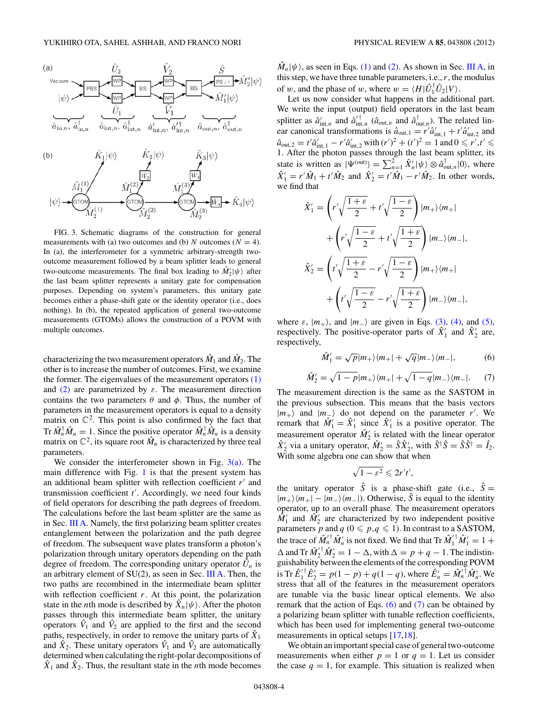<span id="page-3-0"></span>

FIG. 3. Schematic diagrams of the construction for general measurements with (a) two outcomes and (b) *N* outcomes ( $N = 4$ ). In (a), the interferometer for a symmetric arbitrary-strength twooutcome measurement followed by a beam splitter leads to general two-outcome measurements. The final box leading to  $\hat{M}_2'|\psi\rangle$  after the last beam splitter represents a unitary gate for compensation purposes. Depending on system's parameters, this unitary gate becomes either a phase-shift gate or the identity operator (i.e., does nothing). In (b), the repeated application of general two-outcome measurements (GTOMs) allows the construction of a POVM with multiple outcomes.

characterizing the two measurement operators  $\hat{M}_1$  and  $\hat{M}_2$ . The other is to increase the number of outcomes. First, we examine the former. The eigenvalues of the measurement operators  $(1)$ and  $(2)$  are parametrized by  $\varepsilon$ . The measurement direction contains the two parameters  $\theta$  and  $\phi$ . Thus, the number of parameters in the measurement operators is equal to a density matrix on  $\mathbb{C}^2$ . This point is also confirmed by the fact that Tr  $\hat{M}_n^{\dagger} \hat{M}_n = 1$ . Since the positive operator  $\hat{M}_n^{\dagger} \hat{M}_n$  is a density matrix on  $\mathbb{C}^2$ , its square root  $\hat{M}_n$  is characterized by three real parameters.

We consider the interferometer shown in Fig.  $3(a)$ . The main difference with Fig. [1](#page-1-0) is that the present system has an additional beam splitter with reflection coefficient *r'* and transmission coefficient *t* . Accordingly, we need four kinds of field operators for describing the path degrees of freedom. The calculations before the last beam splitter are the same as in Sec. [III A.](#page-1-0) Namely, the first polarizing beam splitter creates entanglement between the polarization and the path degree of freedom. The subsequent wave plates transform a photon's polarization through unitary operators depending on the path degree of freedom. The corresponding unitary operator  $\hat{U}_n$  is an arbitrary element of  $SU(2)$ , as seen in Sec. [III A.](#page-1-0) Then, the two paths are recombined in the intermediate beam splitter with reflection coefficient  $r$ . At this point, the polarization state in the *n*th mode is described by  $\hat{X}_n|\psi\rangle$ . After the photon passes through this intermediate beam splitter, the unitary operators  $\hat{V}_1$  and  $\hat{V}_2$  are applied to the first and the second paths, respectively, in order to remove the unitary parts of  $\hat{X}_1$ and  $\hat{X}_2$ . These unitary operators  $\hat{V}_1$  and  $\hat{V}_2$  are automatically determined when calculating the right-polar decompositions of  $\hat{X}_1$  and  $\hat{X}_2$ . Thus, the resultant state in the *n*th mode becomes

 $\hat{M}_n|\psi\rangle$ , as seen in Eqs. [\(1\)](#page-1-0) and [\(2\).](#page-1-0) As shown in Sec. [III A,](#page-1-0) in this step, we have three tunable parameters, i.e.,*r*, the modulus of *w*, and the phase of *w*, where  $w = \langle H | \hat{U}_1^{\dagger} \hat{U}_2 | V \rangle$ .

Let us now consider what happens in the additional part. We write the input (output) field operators in the last beam splitter as  $\hat{a}'_{\text{int},n}$  and  $\hat{a}'^{\dagger}_{\text{int},n}$  ( $\hat{a}_{\text{out},n}$  and  $\hat{a}^{\dagger}_{\text{out},n}$ ). The related linear canonical transformations is  $\hat{a}_{\text{out,1}} = r' \hat{a}'_{\text{int,1}} + t' \hat{a}'_{\text{int,2}}$  and  $\hat{a}_{\text{out},2} = t'\hat{a}'_{\text{int},1} - r'\hat{a}'_{\text{int},2}$  with  $(r')^2 + (t')^2 = 1$  and  $0 \leq r', t' \leq$ 1. After the photon passes through the last beam splitter, its state is written as  $|\Psi^{(out)}\rangle = \sum_{n=1}^{2} \hat{X}'_n |\psi\rangle \otimes \hat{a}_{out,n}^{\dagger} |0\rangle$ , where  $\hat{X}'_1 = r'\hat{M}_1 + t'\hat{M}_2$  and  $\hat{X}'_2 = t'\hat{M}_1 - r'\hat{M}_2$ . In other words, we find that

$$
\hat{X}'_1 = \left(r'\sqrt{\frac{1+\varepsilon}{2}} + t'\sqrt{\frac{1-\varepsilon}{2}}\right)|m_+\rangle\langle m_+|
$$
  
+ 
$$
\left(r'\sqrt{\frac{1-\varepsilon}{2}} + t'\sqrt{\frac{1+\varepsilon}{2}}\right)|m_-\rangle\langle m_-|,
$$
  

$$
\hat{X}'_2 = \left(t'\sqrt{\frac{1+\varepsilon}{2}} - t'\sqrt{\frac{1-\varepsilon}{2}}\right)|m_+\rangle\langle m_+|
$$
  
+ 
$$
\left(t'\sqrt{\frac{1-\varepsilon}{2}} - t'\sqrt{\frac{1+\varepsilon}{2}}\right)|m_-\rangle\langle m_-|,
$$

where  $\varepsilon$ ,  $|m_{+}\rangle$ , and  $|m_{-}\rangle$  are given in Eqs. [\(3\),](#page-2-0) [\(4\),](#page-2-0) and [\(5\),](#page-2-0) respectively. The positive-operator parts of  $\hat{X}'_1$  and  $\hat{X}'_2$  are, respectively,

$$
\hat{M}'_1 = \sqrt{p}|m_+\rangle\langle m_+| + \sqrt{q}|m_-\rangle\langle m_-|,\tag{6}
$$

$$
\hat{M}'_2 = \sqrt{1-p}|m_+\rangle\langle m_+| + \sqrt{1-q}|m_-\rangle\langle m_-|.\tag{7}
$$

The measurement direction is the same as the SASTOM in the previous subsection. This means that the basis vectors  $|m_{+}\rangle$  and  $|m_{-}\rangle$  do not depend on the parameter *r'*. We remark that  $\hat{M}'_1 = \hat{X}'_1$  since  $\hat{X}'_1$  is a positive operator. The measurement operator  $\hat{M}'_2$  is related with the linear operator  $\hat{X}'_2$  via a unitary operator,  $\hat{M}'_2 = \hat{S}\hat{X}'_2$ , with  $\hat{S}^{\dagger}\hat{S} = \hat{S}\hat{S}^{\dagger} = \hat{I}_2$ . With some algebra one can show that when

$$
\sqrt{1-\varepsilon^2}\leqslant 2r't',
$$

the unitary operator  $\hat{S}$  is a phase-shift gate (i.e.,  $\hat{S} =$  $|m_{+}\rangle\langle m_{+}| - |m_{-}\rangle\langle m_{-}|$ ). Otherwise,  $\hat{S}$  is equal to the identity operator, up to an overall phase. The measurement operators  $\hat{M}_1'$  and  $\hat{M}_2'$  are characterized by two independent positive parameters *p* and  $q$  ( $0 \leq p, q \leq 1$ ). In contrast to a SASTOM, the trace of  $\hat{M}_n^{\prime \dagger} \hat{M}_n^{\prime}$  is not fixed. We find that Tr  $\hat{M}_1^{\prime \dagger} \hat{M}_1^{\prime} = 1 + \hat{M}_1^{\prime \dagger} \hat{M}_1^{\prime}$  $\Delta$  and Tr  $\hat{M}'_2$ <sup>†</sup> $\hat{M}'_2$  = 1 –  $\Delta$ , with  $\Delta = p + q - 1$ . The indistinguishability between the elements of the corresponding POVM is Tr  $\hat{E}_1^{\prime \dagger} \hat{E}_2^{\prime} = p(1-p) + q(1-q)$ , where  $\hat{E}_n^{\prime} = \hat{M}_n^{\prime \dagger} \hat{M}_n^{\prime}$ . We stress that all of the features in the measurement operators are tunable via the basic linear optical elements. We also remark that the action of Eqs.  $(6)$  and  $(7)$  can be obtained by a polarizing beam splitter with tunable reflection coefficients, which has been used for implementing general two-outcome measurements in optical setups [\[17,18\]](#page-5-0).

We obtain an important special case of general two-outcome measurements when either  $p = 1$  or  $q = 1$ . Let us consider the case  $q = 1$ , for example. This situation is realized when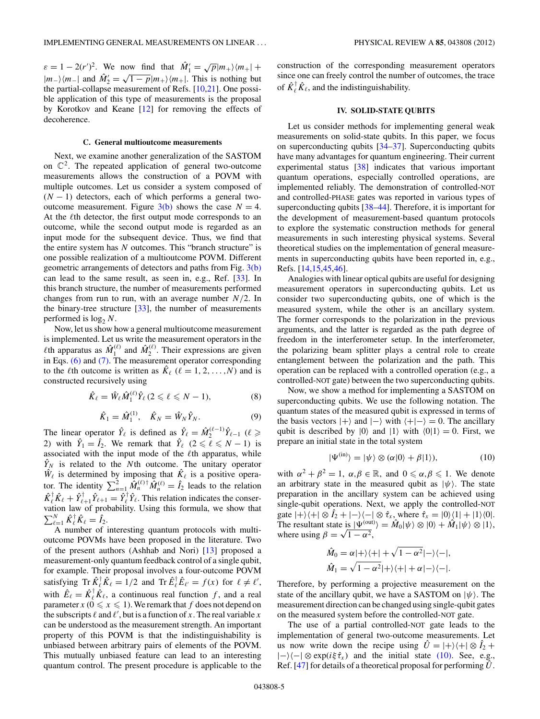<span id="page-4-0"></span> $\varepsilon = 1 - 2(r')^2$ . We now find that  $\hat{M}'_1 = \sqrt{p}|m_+\rangle \langle m_+|$  +  $|m_{-}\rangle\langle m_{-}|$  and  $\hat{M}'_{2} = \sqrt{1-p}|m_{+}\rangle\langle m_{+}|$ . This is nothing but the partial-collapse measurement of Refs. [\[10,21\]](#page-5-0). One possible application of this type of measurements is the proposal by Korotkov and Keane [\[12\]](#page-5-0) for removing the effects of decoherence.

### **C. General multioutcome measurements**

Next, we examine another generalization of the SASTOM on  $\mathbb{C}^2$ . The repeated application of general two-outcome measurements allows the construction of a POVM with multiple outcomes. Let us consider a system composed of  $(N - 1)$  detectors, each of which performs a general twooutcome measurement. Figure  $3(b)$  shows the case  $N = 4$ . At the th detector, the first output mode corresponds to an outcome, while the second output mode is regarded as an input mode for the subsequent device. Thus, we find that the entire system has *N* outcomes. This "branch structure" is one possible realization of a multioutcome POVM. Different geometric arrangements of detectors and paths from Fig. [3\(b\)](#page-3-0) can lead to the same result, as seen in, e.g., Ref. [\[33\]](#page-6-0). In this branch structure, the number of measurements performed changes from run to run, with an average number *N/*2. In the binary-tree structure  $[33]$ , the number of measurements performed is  $log_2 N$ .

Now, let us show how a general multioutcome measurement is implemented. Let us write the measurement operators in the  $\ell$ th apparatus as  $\hat{M}_1^{(\ell)}$  and  $\hat{M}_2^{(\ell)}$ . Their expressions are given in Eqs. [\(6\)](#page-3-0) and [\(7\).](#page-3-0) The measurement operator corresponding to the  $\ell$ th outcome is written as  $\hat{K}_{\ell}$  ( $\ell = 1, 2, ..., N$ ) and is constructed recursively using

$$
\hat{K}_{\ell} = \hat{W}_{\ell} \hat{M}_1^{(\ell)} \hat{Y}_{\ell} \ (2 \leqslant \ell \leqslant N-1), \tag{8}
$$

$$
\hat{K}_1 = \hat{M}_1^{(1)}, \quad \hat{K}_N = \hat{W}_N \hat{Y}_N.
$$
 (9)

The linear operator  $\hat{Y}_\ell$  is defined as  $\hat{Y}_\ell = \hat{M}_2^{(\ell-1)} \hat{Y}_{\ell-1}$  ( $\ell \geq$ 2) with  $\hat{Y}_1 = \hat{I}_2$ . We remark that  $\hat{Y}_\ell$  ( $2 \le \ell \le N - 1$ ) is associated with the input mode of the th apparatus, while  $\hat{Y}_N$  is related to the *N*th outcome. The unitary operator  $\hat{W}_{\ell}$  is determined by imposing that  $\hat{K}_{\ell}$  is a positive operator. The identity  $\sum_{n=1}^{2} \hat{M}_n^{(\ell)} \dagger \hat{M}_n^{(\ell)} = \hat{I}_2$  leads to the relation  $\hat{K}_{\ell}^{\dagger} \hat{K}_{\ell} + \hat{Y}_{\ell+1}^{\dagger} \hat{Y}_{\ell+1} = \hat{Y}_{\ell}^{\dagger} \hat{Y}_{\ell}$ . This relation indicates the conservation law of probability. Using this formula, we show that  $\sum_{\ell=1}^{N} \hat{K}_{\ell}^{\dagger} \hat{K}_{\ell} = \hat{I}_{2}.$ 

A number of interesting quantum protocols with multioutcome POVMs have been proposed in the literature. Two of the present authors (Ashhab and Nori) [\[13\]](#page-5-0) proposed a measurement-only quantum feedback control of a single qubit, for example. Their proposal involves a four-outcome POVM satisfying  $\text{Tr } \hat{K}_{\ell}^{\dagger} \hat{K}_{\ell} = 1/2$  and  $\text{Tr } \hat{E}_{\ell}^{\dagger} \hat{E}_{\ell'} = f(x)$  for  $\ell \neq \ell'$ , with  $\hat{E}_\ell = \hat{K}_\ell^\dagger \hat{K}_\ell$ , a continuous real function f, and a real parameter  $x$  ( $0 \le x \le 1$ ). We remark that  $f$  does not depend on the subscripts  $\ell$  and  $\ell'$ , but is a function of x. The real variable x can be understood as the measurement strength. An important property of this POVM is that the indistinguishability is unbiased between arbitrary pairs of elements of the POVM. This mutually unbiased feature can lead to an interesting quantum control. The present procedure is applicable to the

construction of the corresponding measurement operators since one can freely control the number of outcomes, the trace of  $\hat{K}_{\ell}^{\dagger} \hat{K}_{\ell}$ , and the indistinguishability.

## **IV. SOLID-STATE QUBITS**

Let us consider methods for implementing general weak measurements on solid-state qubits. In this paper, we focus on superconducting qubits [\[34–37\]](#page-6-0). Superconducting qubits have many advantages for quantum engineering. Their current experimental status [\[38\]](#page-6-0) indicates that various important quantum operations, especially controlled operations, are implemented reliably. The demonstration of controlled-NOT and controlled-PHASE gates was reported in various types of superconducting qubits [\[38–44\]](#page-6-0). Therefore, it is important for the development of measurement-based quantum protocols to explore the systematic construction methods for general measurements in such interesting physical systems. Several theoretical studies on the implementation of general measurements in superconducting qubits have been reported in, e.g., Refs. [\[14,15,](#page-5-0)[45,46\]](#page-6-0).

Analogies with linear optical qubits are useful for designing measurement operators in superconducting qubits. Let us consider two superconducting qubits, one of which is the measured system, while the other is an ancillary system. The former corresponds to the polarization in the previous arguments, and the latter is regarded as the path degree of freedom in the interferometer setup. In the interferometer, the polarizing beam splitter plays a central role to create entanglement between the polarization and the path. This operation can be replaced with a controlled operation (e.g., a controlled-NOT gate) between the two superconducting qubits.

Now, we show a method for implementing a SASTOM on superconducting qubits. We use the following notation. The quantum states of the measured qubit is expressed in terms of the basis vectors  $|+\rangle$  and  $|-\rangle$  with  $\langle +|-\rangle = 0$ . The ancillary qubit is described by  $|0\rangle$  and  $|1\rangle$  with  $\langle 0|1\rangle = 0$ . First, we prepare an initial state in the total system

$$
|\Psi^{(in)}\rangle = |\psi\rangle \otimes (\alpha|0\rangle + \beta|1\rangle), \tag{10}
$$

with  $\alpha^2 + \beta^2 = 1$ ,  $\alpha, \beta \in \mathbb{R}$ , and  $0 \le \alpha, \beta \le 1$ . We denote an arbitrary state in the measured qubit as  $|\psi\rangle$ . The state preparation in the ancillary system can be achieved using single-qubit operations. Next, we apply the controlled-NOT gate  $|+\rangle\langle+| \otimes \hat{I}_2 + |-\rangle\langle-| \otimes \hat{\tau}_x$ , where  $\hat{\tau}_x = |0\rangle\langle1| + |1\rangle\langle0|$ . The resultant state is  $|\Psi^{(\text{out})}\rangle = \hat{M}_0|\psi\rangle \otimes |0\rangle + \hat{M}_1|\psi\rangle \otimes |1\rangle$ , where using  $\beta = \sqrt{1 - \alpha^2}$ ,

$$
\hat{M}_0 = \alpha |+\rangle\langle +| + \sqrt{1 - \alpha^2}|-\rangle\langle -|,
$$
  

$$
\hat{M}_1 = \sqrt{1 - \alpha^2}|+\rangle\langle +| + \alpha|-\rangle\langle -|.
$$

Therefore, by performing a projective measurement on the state of the ancillary qubit, we have a SASTOM on  $|\psi\rangle$ . The measurement direction can be changed using single-qubit gates on the measured system before the controlled-NOT gate.

The use of a partial controlled-NOT gate leads to the implementation of general two-outcome measurements. Let us now write down the recipe using  $\hat{U} = |+\rangle \langle +| \otimes \hat{I}_2 +$  $|-\rangle\langle-|\otimes \exp(i\xi \hat{\tau}_x)$  and the initial state (10). See, e.g., Ref. [\[47\]](#page-6-0) for details of a theoretical proposal for performing  $\hat{U}$ .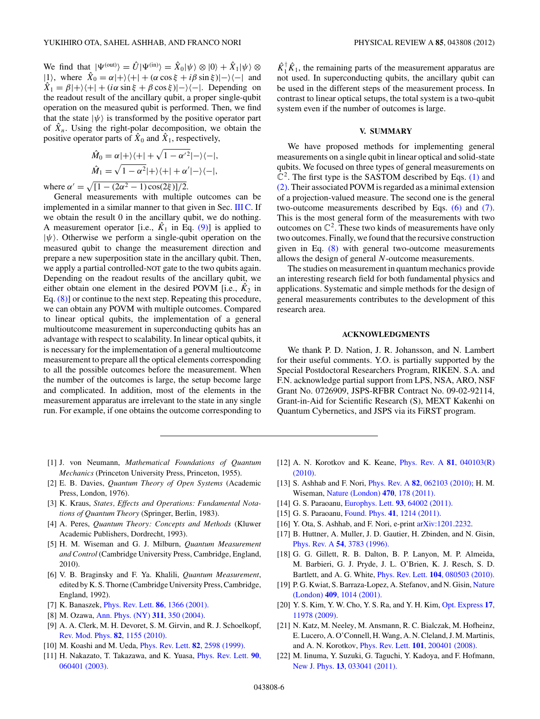<span id="page-5-0"></span>We find that  $|\Psi^{(\text{out})}\rangle = \hat{U}|\Psi^{(\text{in})}\rangle = \hat{X}_0|\psi\rangle \otimes |0\rangle + \hat{X}_1|\psi\rangle \otimes$  $|1\rangle$ , where  $\hat{X}_0 = \alpha |+\rangle \langle +| + (\alpha \cos \xi + i\beta \sin \xi)|-\rangle \langle -|$  and  $\hat{X}_1 = \beta |+\rangle \langle +| + (i\alpha \sin \xi + \beta \cos \xi)| - \rangle \langle -|$ . Depending on the readout result of the ancillary qubit, a proper single-qubit operation on the measured qubit is performed. Then, we find that the state  $|\psi\rangle$  is transformed by the positive operator part of  $\hat{X}_n$ . Using the right-polar decomposition, we obtain the positive operator parts of  $\hat{X}_0$  and  $\hat{X}_1$ , respectively,

$$
\hat{M}_0 = \alpha |+\rangle\langle+| + \sqrt{1 - {\alpha'}^2}|-\rangle\langle-|,
$$
  

$$
\hat{M}_1 = \sqrt{1 - {\alpha'}^2}|+\rangle\langle+| + {\alpha'}|-\rangle\langle-|,
$$

where  $\alpha' = \sqrt{[1 - (2\alpha^2 - 1)\cos(2\xi)]/2}$ .

General measurements with multiple outcomes can be implemented in a similar manner to that given in Sec. [III C.](#page-4-0) If we obtain the result 0 in the ancillary qubit, we do nothing. A measurement operator [i.e.,  $\hat{K}_1$  in Eq. [\(9\)\]](#page-4-0) is applied to  $|\psi\rangle$ . Otherwise we perform a single-qubit operation on the measured qubit to change the measurement direction and prepare a new superposition state in the ancillary qubit. Then, we apply a partial controlled-NOT gate to the two qubits again. Depending on the readout results of the ancillary qubit, we either obtain one element in the desired POVM [i.e.,  $\hat{K}_2$  in Eq. [\(8\)\]](#page-4-0) or continue to the next step. Repeating this procedure, we can obtain any POVM with multiple outcomes. Compared to linear optical qubits, the implementation of a general multioutcome measurement in superconducting qubits has an advantage with respect to scalability. In linear optical qubits, it is necessary for the implementation of a general multioutcome measurement to prepare all the optical elements corresponding to all the possible outcomes before the measurement. When the number of the outcomes is large, the setup become large and complicated. In addition, most of the elements in the measurement apparatus are irrelevant to the state in any single run. For example, if one obtains the outcome corresponding to

 $\hat{K}_1^{\dagger} \hat{K}_1$ , the remaining parts of the measurement apparatus are not used. In superconducting qubits, the ancillary qubit can be used in the different steps of the measurement process. In contrast to linear optical setups, the total system is a two-qubit system even if the number of outcomes is large.

### **V. SUMMARY**

We have proposed methods for implementing general measurements on a single qubit in linear optical and solid-state qubits. We focused on three types of general measurements on  $\mathbb{C}^2$ . The first type is the SASTOM described by Eqs. [\(1\)](#page-1-0) and [\(2\).](#page-1-0) Their associated POVM is regarded as a minimal extension of a projection-valued measure. The second one is the general two-outcome measurements described by Eqs. [\(6\)](#page-3-0) and [\(7\).](#page-3-0) This is the most general form of the measurements with two outcomes on  $\mathbb{C}^2$ . These two kinds of measurements have only two outcomes. Finally, we found that the recursive construction given in Eq. [\(8\)](#page-4-0) with general two-outcome measurements allows the design of general *N*-outcome measurements.

The studies on measurement in quantum mechanics provide an interesting research field for both fundamental physics and applications. Systematic and simple methods for the design of general measurements contributes to the development of this research area.

### **ACKNOWLEDGMENTS**

We thank P. D. Nation, J. R. Johansson, and N. Lambert for their useful comments. Y.O. is partially supported by the Special Postdoctoral Researchers Program, RIKEN. S.A. and F.N. acknowledge partial support from LPS, NSA, ARO, NSF Grant No. 0726909, JSPS-RFBR Contract No. 09-02-92114, Grant-in-Aid for Scientific Research (S), MEXT Kakenhi on Quantum Cybernetics, and JSPS via its FiRST program.

- [1] J. von Neumann, *Mathematical Foundations of Quantum Mechanics* (Princeton University Press, Princeton, 1955).
- [2] E. B. Davies, *Quantum Theory of Open Systems* (Academic Press, London, 1976).
- [3] K. Kraus, *States, Effects and Operations: Fundamental Notations of Quantum Theory* (Springer, Berlin, 1983).
- [4] A. Peres, *Quantum Theory: Concepts and Methods* (Kluwer Academic Publishers, Dordrecht, 1993).
- [5] H. M. Wiseman and G. J. Milburn, *Quantum Measurement and Control* (Cambridge University Press, Cambridge, England, 2010).
- [6] V. B. Braginsky and F. Ya. Khalili, *Quantum Measurement*, edited by K. S. Thorne (Cambridge University Press, Cambridge, England, 1992).
- [7] K. Banaszek, [Phys. Rev. Lett.](http://dx.doi.org/10.1103/PhysRevLett.86.1366) **86**, 1366 (2001).
- [8] M. Ozawa, [Ann. Phys. \(NY\)](http://dx.doi.org/10.1016/j.aop.2003.12.012) **311**, 350 (2004).
- [9] A. A. Clerk, M. H. Devoret, S. M. Girvin, and R. J. Schoelkopf, [Rev. Mod. Phys.](http://dx.doi.org/10.1103/RevModPhys.82.1155) **82**, 1155 (2010).
- [10] M. Koashi and M. Ueda, [Phys. Rev. Lett.](http://dx.doi.org/10.1103/PhysRevLett.82.2598) **82**, 2598 (1999).
- [11] H. Nakazato, T. Takazawa, and K. Yuasa, [Phys. Rev. Lett.](http://dx.doi.org/10.1103/PhysRevLett.90.060401) **90**, [060401 \(2003\).](http://dx.doi.org/10.1103/PhysRevLett.90.060401)
- [12] A. N. Korotkov and K. Keane, [Phys. Rev. A](http://dx.doi.org/10.1103/PhysRevA.81.040103) **81**, 040103(R) [\(2010\).](http://dx.doi.org/10.1103/PhysRevA.81.040103)
- [13] S. Ashhab and F. Nori, Phys. Rev. A **82**[, 062103 \(2010\);](http://dx.doi.org/10.1103/PhysRevA.82.062103) H. M. Wiseman, [Nature \(London\)](http://dx.doi.org/10.1038/470178a) **470**, 178 (2011).
- [14] G. S. Paraoanu, [Europhys. Lett.](http://dx.doi.org/10.1209/0295-5075/93/64002) **93**, 64002 (2011).
- [15] G. S. Paraoanu, Found. Phys. **41**[, 1214 \(2011\).](http://dx.doi.org/10.1007/s10701-011-9542-7)
- [16] Y. Ota, S. Ashhab, and F. Nori, e-print [arXiv:1201.2232.](http://arXiv.org/abs/arXiv:1201.2232)
- [17] B. Huttner, A. Muller, J. D. Gautier, H. Zbinden, and N. Gisin, Phys. Rev. A **54**[, 3783 \(1996\).](http://dx.doi.org/10.1103/PhysRevA.54.3783)
- [18] G. G. Gillett, R. B. Dalton, B. P. Lanyon, M. P. Almeida, M. Barbieri, G. J. Pryde, J. L. O'Brien, K. J. Resch, S. D. Bartlett, and A. G. White, Phys. Rev. Lett. **104**[, 080503 \(2010\).](http://dx.doi.org/10.1103/PhysRevLett.104.080503)
- [19] P. G. Kwiat, S. Barraza-Lopez, A. Stefanov, and N. Gisin, [Nature](http://dx.doi.org/10.1038/35059017) (London) **409**[, 1014 \(2001\).](http://dx.doi.org/10.1038/35059017)
- [20] Y. S. Kim, Y. W. Cho, Y. S. Ra, and Y. H. Kim, [Opt. Express](http://dx.doi.org/10.1364/OE.17.011978) **17**, [11978 \(2009\).](http://dx.doi.org/10.1364/OE.17.011978)
- [21] N. Katz, M. Neeley, M. Ansmann, R. C. Bialczak, M. Hofheinz, E. Lucero, A. O'Connell, H. Wang, A. N. Cleland, J. M. Martinis, and A. N. Korotkov, Phys. Rev. Lett. **101**[, 200401 \(2008\).](http://dx.doi.org/10.1103/PhysRevLett.101.200401)
- [22] M. Iinuma, Y. Suzuki, G. Taguchi, Y. Kadoya, and F. Hofmann, New J. Phys. **13**[, 033041 \(2011\).](http://dx.doi.org/10.1088/1367-2630/13/3/033041)